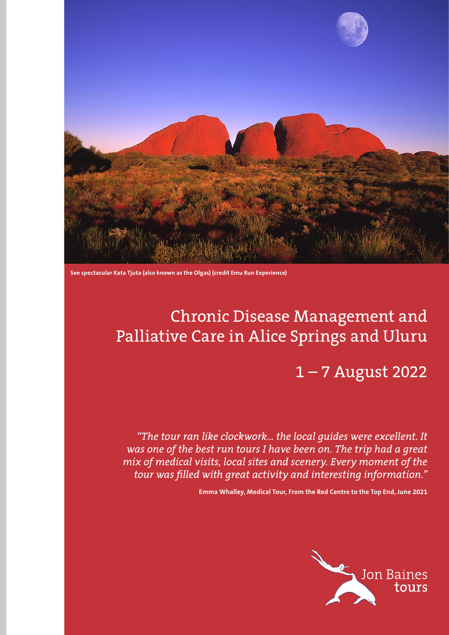

**See spectacular Kata Tjuta (also known as the Olgas) (credit Emu Run Experience)**

# Chronic Disease Management and Palliative Care in Alice Springs and Uluru

1 – 7 August 2022

*"The tour ran like clockwork… the local guides were excellent. It was one of the best run tours I have been on. The trip had a great mix of medical visits, local sites and scenery. Every moment of the tour was filled with great activity and interesting information."* 

**Emma Whalley, Medical Tour, From the Red Centre to the Top End, June 2021**

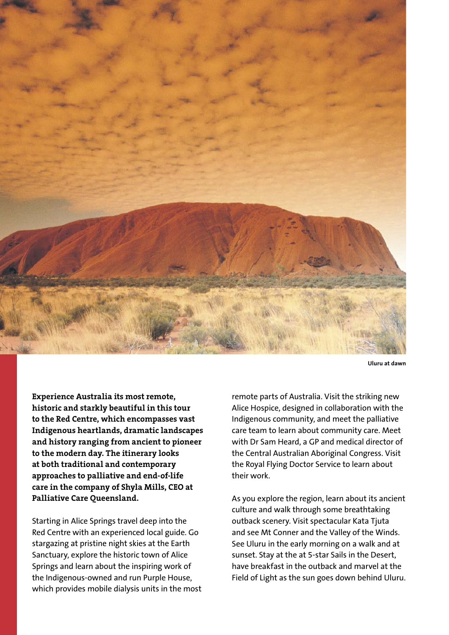

**Uluru at dawn**

**Experience Australia its most remote, historic and starkly beautiful in this tour to the Red Centre, which encompasses vast Indigenous heartlands, dramatic landscapes and history ranging from ancient to pioneer to the modern day. The itinerary looks at both traditional and contemporary approaches to palliative and end-of-life care in the company of Shyla Mills, CEO at Palliative Care Queensland.**

Starting in Alice Springs travel deep into the Red Centre with an experienced local guide. Go stargazing at pristine night skies at the Earth Sanctuary, explore the historic town of Alice Springs and learn about the inspiring work of the Indigenous-owned and run Purple House, which provides mobile dialysis units in the most

remote parts of Australia. Visit the striking new Alice Hospice, designed in collaboration with the Indigenous community, and meet the palliative care team to learn about community care. Meet with Dr Sam Heard, a GP and medical director of the Central Australian Aboriginal Congress. Visit the Royal Flying Doctor Service to learn about their work.

As you explore the region, learn about its ancient culture and walk through some breathtaking outback scenery. Visit spectacular Kata Tjuta and see Mt Conner and the Valley of the Winds. See Uluru in the early morning on a walk and at sunset. Stay at the at 5-star Sails in the Desert, have breakfast in the outback and marvel at the Field of Light as the sun goes down behind Uluru.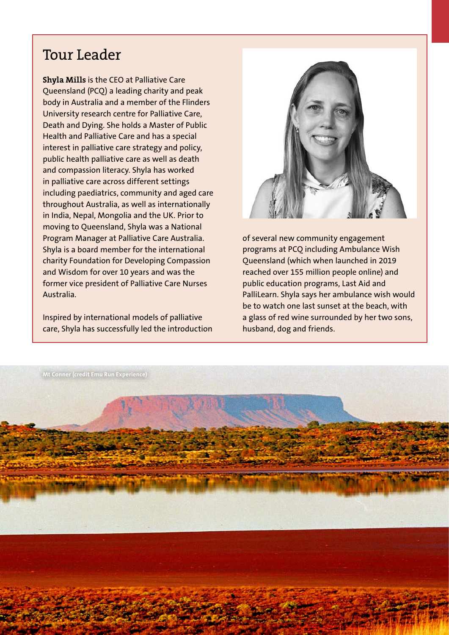# Tour Leader

**Shyla Mills** is the CEO at Palliative Care Queensland (PCQ) a leading charity and peak body in Australia and a member of the Flinders University research centre for Palliative Care, Death and Dying. She holds a Master of Public Health and Palliative Care and has a special interest in palliative care strategy and policy, public health palliative care as well as death and compassion literacy. Shyla has worked in palliative care across different settings including paediatrics, community and aged care throughout Australia, as well as internationally in India, Nepal, Mongolia and the UK. Prior to moving to Queensland, Shyla was a National Program Manager at Palliative Care Australia. Shyla is a board member for the international charity Foundation for Developing Compassion and Wisdom for over 10 years and was the former vice president of Palliative Care Nurses Australia.

Inspired by international models of palliative care, Shyla has successfully led the introduction



of several new community engagement programs at PCQ including Ambulance Wish Queensland (which when launched in 2019 reached over 155 million people online) and public education programs, Last Aid and PalliLearn. Shyla says her ambulance wish would be to watch one last sunset at the beach, with a glass of red wine surrounded by her two sons, husband, dog and friends.

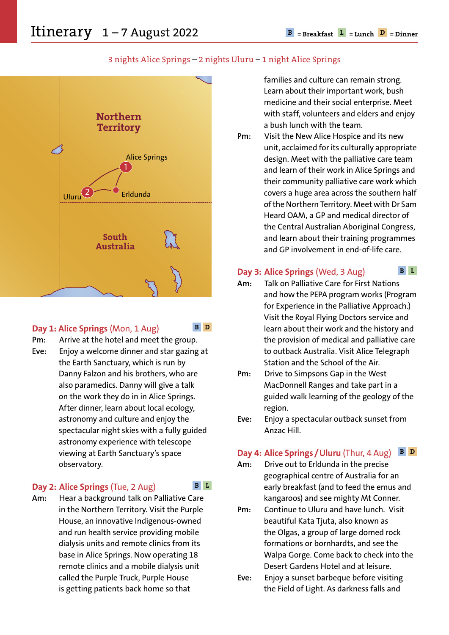

### 3 nights Alice Springs – 2 nights Uluru – 1 night Alice Springs



### **Day 1: Alice Springs** (Mon, 1 Aug)

**B D**

**Pm:** Arrive at the hotel and meet the group. **Eve:** Enjoy a welcome dinner and star gazing at the Earth Sanctuary, which is run by Danny Falzon and his brothers, who are also paramedics. Danny will give a talk on the work they do in in Alice Springs. After dinner, learn about local ecology, astronomy and culture and enjoy the spectacular night skies with a fully guided astronomy experience with telescope viewing at Earth Sanctuary's space observatory.

### **Day 2: Alice Springs** (Tue, 2 Aug)

**Am:** Hear a background talk on Palliative Care in the Northern Territory. Visit the Purple House, an innovative Indigenous-owned and run health service providing mobile dialysis units and remote clinics from its base in Alice Springs. Now operating 18 remote clinics and a mobile dialysis unit called the Purple Truck, Purple House is getting patients back home so that

families and culture can remain strong. Learn about their important work, bush medicine and their social enterprise. Meet with staff, volunteers and elders and enjoy a bush lunch with the team.

**Pm:** Visit the New Alice Hospice and its new unit, acclaimed for its culturally appropriate design. Meet with the palliative care team and learn of their work in Alice Springs and their community palliative care work which covers a huge area across the southern half of the Northern Territory. Meet with Dr Sam Heard OAM, a GP and medical director of the Central Australian Aboriginal Congress, and learn about their training programmes and GP involvement in end-of-life care.

#### **Day 3: Alice Springs** (Wed, 3 Aug) **B L**

- **Am:** Talk on Palliative Care for First Nations and how the PEPA program works (Program for Experience in the Palliative Approach.) Visit the Royal Flying Doctors service and learn about their work and the history and the provision of medical and palliative care to outback Australia. Visit Alice Telegraph Station and the School of the Air.
- **Pm:** Drive to Simpsons Gap in the West MacDonnell Ranges and take part in a guided walk learning of the geology of the region.
- **Eve:** Enjoy a spectacular outback sunset from Anzac Hill.

#### **Day 4: Alice Springs / Uluru** (Thur, 4 Aug) **B D**

- **Am:** Drive out to Erldunda in the precise geographical centre of Australia for an early breakfast (and to feed the emus and kangaroos) and see mighty Mt Conner.
- **Pm:** Continue to Uluru and have lunch. Visit beautiful Kata Tjuta, also known as the Olgas, a group of large domed rock formations or bornhardts, and see the Walpa Gorge. Come back to check into the Desert Gardens Hotel and at leisure.
- **Eve:** Enjoy a sunset barbeque before visiting the Field of Light. As darkness falls and

**B L**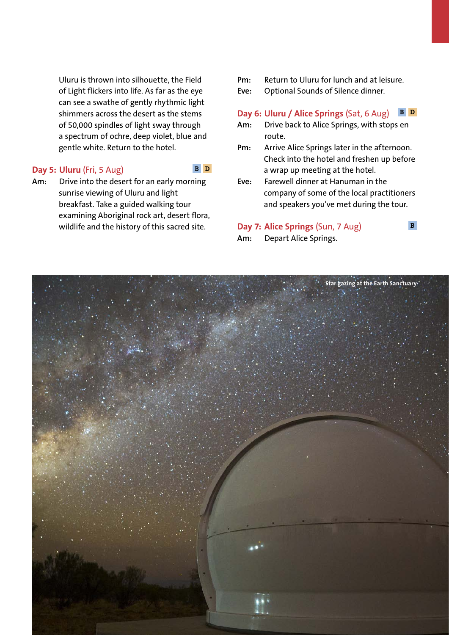Uluru is thrown into silhouette, the Field of Light flickers into life. As far as the eye can see a swathe of gently rhythmic light shimmers across the desert as the stems of 50,000 spindles of light sway through a spectrum of ochre, deep violet, blue and gentle white. Return to the hotel.

### **Day 5: Uluru** (Fri, 5 Aug)

### **B D**

**Am:** Drive into the desert for an early morning sunrise viewing of Uluru and light breakfast. Take a guided walking tour examining Aboriginal rock art, desert flora, wildlife and the history of this sacred site.

- **Pm:** Return to Uluru for lunch and at leisure.
- **Eve:** Optional Sounds of Silence dinner.

#### **Day 6: Uluru / Alice Springs** (Sat, 6 Aug) **B D**

- **Am:** Drive back to Alice Springs, with stops en route.
- **Pm:** Arrive Alice Springs later in the afternoon. Check into the hotel and freshen up before a wrap up meeting at the hotel.
- **Eve:** Farewell dinner at Hanuman in the company of some of the local practitioners and speakers you've met during the tour.

**B**

### **Day 7: Alice Springs** (Sun, 7 Aug)

**Am:** Depart Alice Springs.

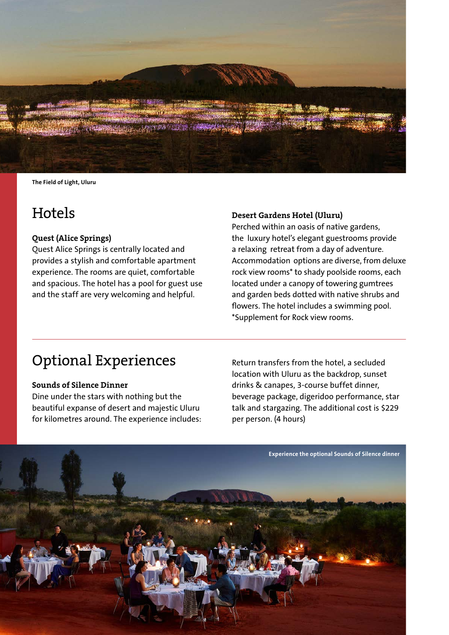

**The Field of Light, Uluru**

### **Hotels**

### **Quest (Alice Springs)**

Quest Alice Springs is centrally located and provides a stylish and comfortable apartment experience. The rooms are quiet, comfortable and spacious. The hotel has a pool for guest use and the staff are very welcoming and helpful.

### **Desert Gardens Hotel (Uluru)**

Perched within an oasis of native gardens, the luxury hotel's elegant guestrooms provide a relaxing retreat from a day of adventure. Accommodation options are diverse, from deluxe rock view rooms\* to shady poolside rooms, each located under a canopy of towering gumtrees and garden beds dotted with native shrubs and flowers. The hotel includes a swimming pool. \*Supplement for Rock view rooms.

## Optional Experiences

#### **Sounds of Silence Dinner**

Dine under the stars with nothing but the beautiful expanse of desert and majestic Uluru for kilometres around. The experience includes:

Return transfers from the hotel, a secluded location with Uluru as the backdrop, sunset drinks & canapes, 3-course buffet dinner, beverage package, digeridoo performance, star talk and stargazing. The additional cost is \$229 per person. (4 hours)

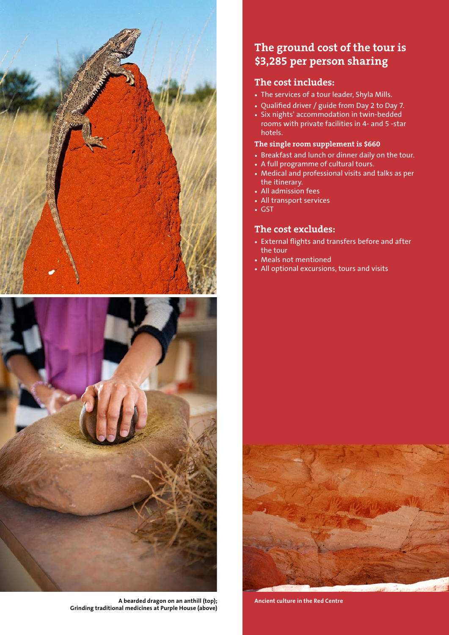



**A bearded dragon on an anthill (top); Grinding traditional medicines at Purple House (above)**

### **The ground cost of the tour is \$3,285 per person sharing**

### **The cost includes:**

- The services of a tour leader, Shyla Mills.
- Qualified driver / guide from Day 2 to Day 7.
- Six nights' accommodation in twin-bedded rooms with private facilities in 4- and 5 -star hotels.

### **The single room supplement is \$660**

- Breakfast and lunch or dinner daily on the tour.
- A full programme of cultural tours.
- Medical and professional visits and talks as per the itinerary.
- All admission fees
- All transport services
- GST

### **The cost excludes:**

- External flights and transfers before and after the tour
- Meals not mentioned
- All optional excursions, tours and visits



**Ancient culture in the Red Centre**